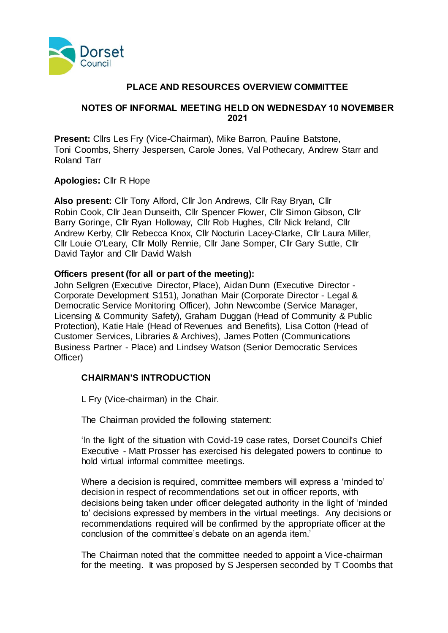

# **PLACE AND RESOURCES OVERVIEW COMMITTEE**

### **NOTES OF INFORMAL MEETING HELD ON WEDNESDAY 10 NOVEMBER 2021**

**Present:** Cllrs Les Fry (Vice-Chairman), Mike Barron, Pauline Batstone, Toni Coombs, Sherry Jespersen, Carole Jones, Val Pothecary, Andrew Starr and Roland Tarr

### **Apologies:** Cllr R Hope

**Also present:** Cllr Tony Alford, Cllr Jon Andrews, Cllr Ray Bryan, Cllr Robin Cook, Cllr Jean Dunseith, Cllr Spencer Flower, Cllr Simon Gibson, Cllr Barry Goringe, Cllr Ryan Holloway, Cllr Rob Hughes, Cllr Nick Ireland, Cllr Andrew Kerby, Cllr Rebecca Knox, Cllr Nocturin Lacey-Clarke, Cllr Laura Miller, Cllr Louie O'Leary, Cllr Molly Rennie, Cllr Jane Somper, Cllr Gary Suttle, Cllr David Taylor and Cllr David Walsh

# **Officers present (for all or part of the meeting):**

John Sellgren (Executive Director, Place), Aidan Dunn (Executive Director - Corporate Development S151), Jonathan Mair (Corporate Director - Legal & Democratic Service Monitoring Officer), John Newcombe (Service Manager, Licensing & Community Safety), Graham Duggan (Head of Community & Public Protection), Katie Hale (Head of Revenues and Benefits), Lisa Cotton (Head of Customer Services, Libraries & Archives), James Potten (Communications Business Partner - Place) and Lindsey Watson (Senior Democratic Services Officer)

# **CHAIRMAN'S INTRODUCTION**

L Fry (Vice-chairman) in the Chair.

The Chairman provided the following statement:

'In the light of the situation with Covid-19 case rates, Dorset Council's Chief Executive - Matt Prosser has exercised his delegated powers to continue to hold virtual informal committee meetings.

Where a decision is required, committee members will express a 'minded to' decision in respect of recommendations set out in officer reports, with decisions being taken under officer delegated authority in the light of 'minded to' decisions expressed by members in the virtual meetings. Any decisions or recommendations required will be confirmed by the appropriate officer at the conclusion of the committee's debate on an agenda item.'

The Chairman noted that the committee needed to appoint a Vice-chairman for the meeting. It was proposed by S Jespersen seconded by T Coombs that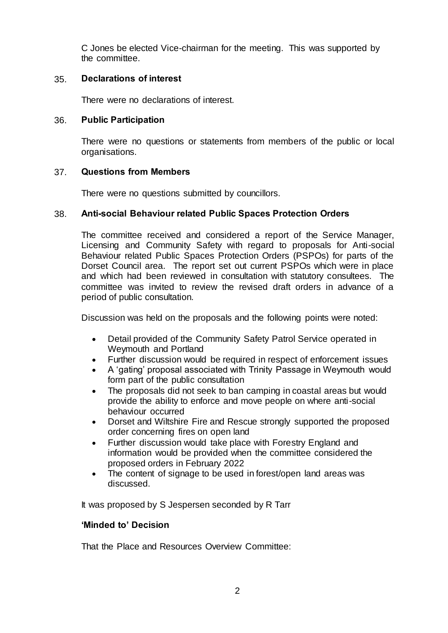C Jones be elected Vice-chairman for the meeting. This was supported by the committee.

### 35. **Declarations of interest**

There were no declarations of interest.

#### 36. **Public Participation**

There were no questions or statements from members of the public or local organisations.

### 37. **Questions from Members**

There were no questions submitted by councillors.

### 38. **Anti-social Behaviour related Public Spaces Protection Orders**

The committee received and considered a report of the Service Manager, Licensing and Community Safety with regard to proposals for Anti-social Behaviour related Public Spaces Protection Orders (PSPOs) for parts of the Dorset Council area. The report set out current PSPOs which were in place and which had been reviewed in consultation with statutory consultees. The committee was invited to review the revised draft orders in advance of a period of public consultation.

Discussion was held on the proposals and the following points were noted:

- Detail provided of the Community Safety Patrol Service operated in Weymouth and Portland
- Further discussion would be required in respect of enforcement issues
- A 'gating' proposal associated with Trinity Passage in Weymouth would form part of the public consultation
- The proposals did not seek to ban camping in coastal areas but would provide the ability to enforce and move people on where anti-social behaviour occurred
- Dorset and Wiltshire Fire and Rescue strongly supported the proposed order concerning fires on open land
- Further discussion would take place with Forestry England and information would be provided when the committee considered the proposed orders in February 2022
- The content of signage to be used in forest/open land areas was discussed.

It was proposed by S Jespersen seconded by R Tarr

### **'Minded to' Decision**

That the Place and Resources Overview Committee: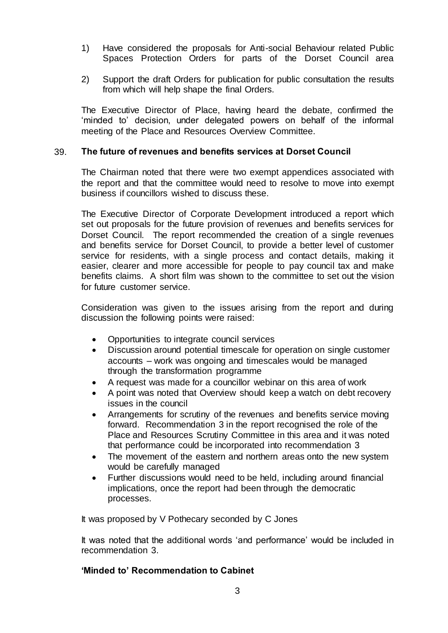- 1) Have considered the proposals for Anti-social Behaviour related Public Spaces Protection Orders for parts of the Dorset Council area
- 2) Support the draft Orders for publication for public consultation the results from which will help shape the final Orders.

The Executive Director of Place, having heard the debate, confirmed the 'minded to' decision, under delegated powers on behalf of the informal meeting of the Place and Resources Overview Committee.

### 39. **The future of revenues and benefits services at Dorset Council**

The Chairman noted that there were two exempt appendices associated with the report and that the committee would need to resolve to move into exempt business if councillors wished to discuss these.

The Executive Director of Corporate Development introduced a report which set out proposals for the future provision of revenues and benefits services for Dorset Council. The report recommended the creation of a single revenues and benefits service for Dorset Council, to provide a better level of customer service for residents, with a single process and contact details, making it easier, clearer and more accessible for people to pay council tax and make benefits claims. A short film was shown to the committee to set out the vision for future customer service.

Consideration was given to the issues arising from the report and during discussion the following points were raised:

- Opportunities to integrate council services
- Discussion around potential timescale for operation on single customer accounts – work was ongoing and timescales would be managed through the transformation programme
- A request was made for a councillor webinar on this area of work
- A point was noted that Overview should keep a watch on debt recovery issues in the council
- Arrangements for scrutiny of the revenues and benefits service moving forward. Recommendation 3 in the report recognised the role of the Place and Resources Scrutiny Committee in this area and it was noted that performance could be incorporated into recommendation 3
- The movement of the eastern and northern areas onto the new system would be carefully managed
- Further discussions would need to be held, including around financial implications, once the report had been through the democratic processes.

It was proposed by V Pothecary seconded by C Jones

It was noted that the additional words 'and performance' would be included in recommendation 3.

### **'Minded to' Recommendation to Cabinet**